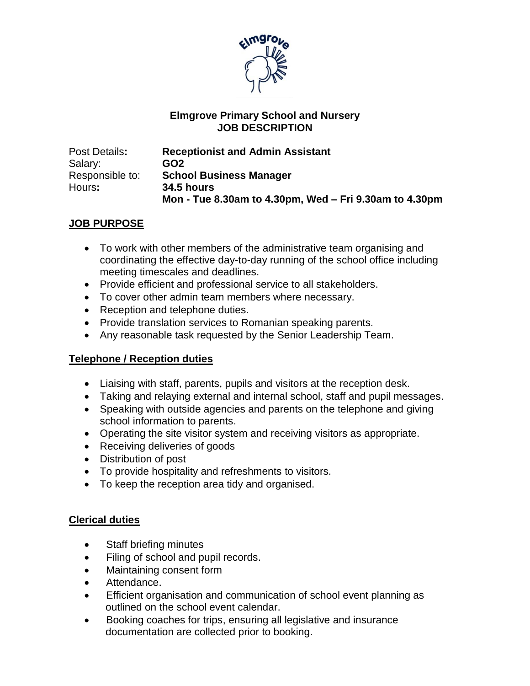

### **Elmgrove Primary School and Nursery JOB DESCRIPTION**

| Post Details:   | <b>Receptionist and Admin Assistant</b>                |  |
|-----------------|--------------------------------------------------------|--|
| Salary:         | GO <sub>2</sub>                                        |  |
| Responsible to: | <b>School Business Manager</b>                         |  |
| Hours:          | <b>34.5 hours</b>                                      |  |
|                 | Mon - Tue 8.30am to 4.30pm, Wed – Fri 9.30am to 4.30pm |  |

# **JOB PURPOSE**

- To work with other members of the administrative team organising and coordinating the effective day-to-day running of the school office including meeting timescales and deadlines.
- Provide efficient and professional service to all stakeholders.
- To cover other admin team members where necessary.
- Reception and telephone duties.
- Provide translation services to Romanian speaking parents.
- Any reasonable task requested by the Senior Leadership Team.

# **Telephone / Reception duties**

- Liaising with staff, parents, pupils and visitors at the reception desk.
- Taking and relaying external and internal school, staff and pupil messages.
- Speaking with outside agencies and parents on the telephone and giving school information to parents.
- Operating the site visitor system and receiving visitors as appropriate.
- Receiving deliveries of goods
- Distribution of post
- To provide hospitality and refreshments to visitors.
- To keep the reception area tidy and organised.

#### **Clerical duties**

- Staff briefing minutes
- Filing of school and pupil records.
- Maintaining consent form
- Attendance.
- Efficient organisation and communication of school event planning as outlined on the school event calendar.
- Booking coaches for trips, ensuring all legislative and insurance documentation are collected prior to booking.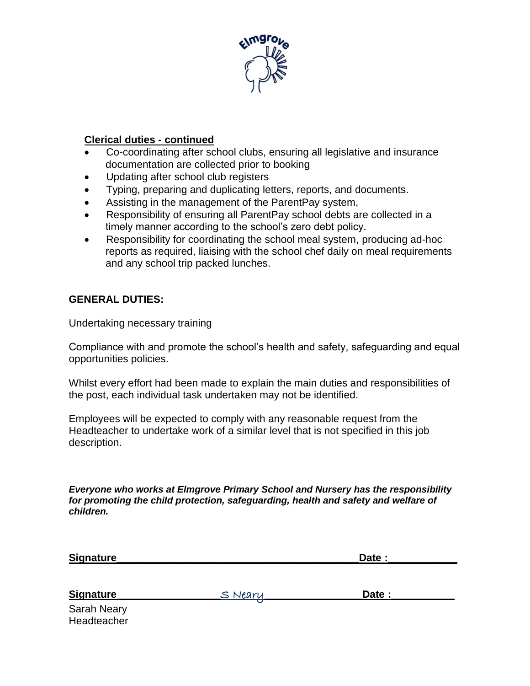

### **Clerical duties - continued**

- Co-coordinating after school clubs, ensuring all legislative and insurance documentation are collected prior to booking
- Updating after school club registers
- Typing, preparing and duplicating letters, reports, and documents.
- Assisting in the management of the ParentPay system,
- Responsibility of ensuring all ParentPay school debts are collected in a timely manner according to the school's zero debt policy.
- Responsibility for coordinating the school meal system, producing ad-hoc reports as required, liaising with the school chef daily on meal requirements and any school trip packed lunches.

# **GENERAL DUTIES:**

Undertaking necessary training

Compliance with and promote the school's health and safety, safeguarding and equal opportunities policies.

Whilst every effort had been made to explain the main duties and responsibilities of the post, each individual task undertaken may not be identified.

Employees will be expected to comply with any reasonable request from the Headteacher to undertake work of a similar level that is not specified in this job description.

*Everyone who works at Elmgrove Primary School and Nursery has the responsibility for promoting the child protection, safeguarding, health and safety and welfare of children.*

|                                            | Date : |  |
|--------------------------------------------|--------|--|
|                                            |        |  |
|                                            |        |  |
| <u>S Nearu</u><br>$\overline{\phantom{a}}$ | Date:  |  |
|                                            |        |  |

Sarah Neary **Headteacher**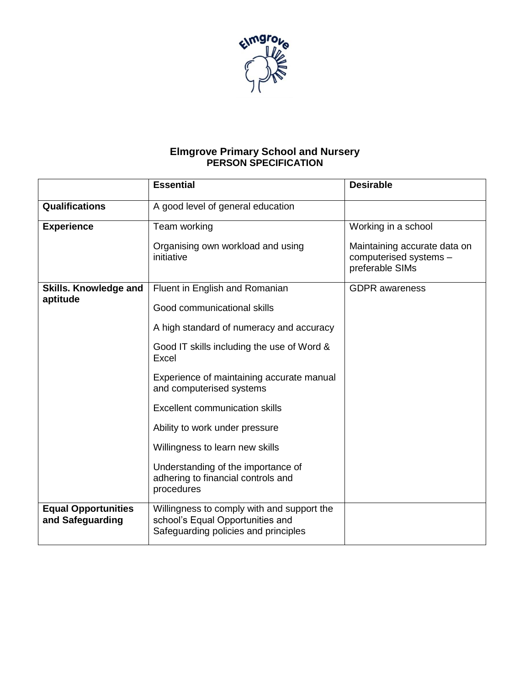

#### **Elmgrove Primary School and Nursery PERSON SPECIFICATION**

|                                                | <b>Essential</b>                                                                                                       | <b>Desirable</b>                                                          |
|------------------------------------------------|------------------------------------------------------------------------------------------------------------------------|---------------------------------------------------------------------------|
| <b>Qualifications</b>                          | A good level of general education                                                                                      |                                                                           |
| <b>Experience</b>                              | Team working                                                                                                           | Working in a school                                                       |
|                                                | Organising own workload and using<br>initiative                                                                        | Maintaining accurate data on<br>computerised systems -<br>preferable SIMs |
| <b>Skills. Knowledge and</b><br>aptitude       | Fluent in English and Romanian                                                                                         | <b>GDPR</b> awareness                                                     |
|                                                | Good communicational skills                                                                                            |                                                                           |
|                                                | A high standard of numeracy and accuracy                                                                               |                                                                           |
|                                                | Good IT skills including the use of Word &<br>Excel                                                                    |                                                                           |
|                                                | Experience of maintaining accurate manual<br>and computerised systems                                                  |                                                                           |
|                                                | <b>Excellent communication skills</b>                                                                                  |                                                                           |
|                                                | Ability to work under pressure                                                                                         |                                                                           |
|                                                | Willingness to learn new skills                                                                                        |                                                                           |
|                                                | Understanding of the importance of<br>adhering to financial controls and<br>procedures                                 |                                                                           |
| <b>Equal Opportunities</b><br>and Safeguarding | Willingness to comply with and support the<br>school's Equal Opportunities and<br>Safeguarding policies and principles |                                                                           |